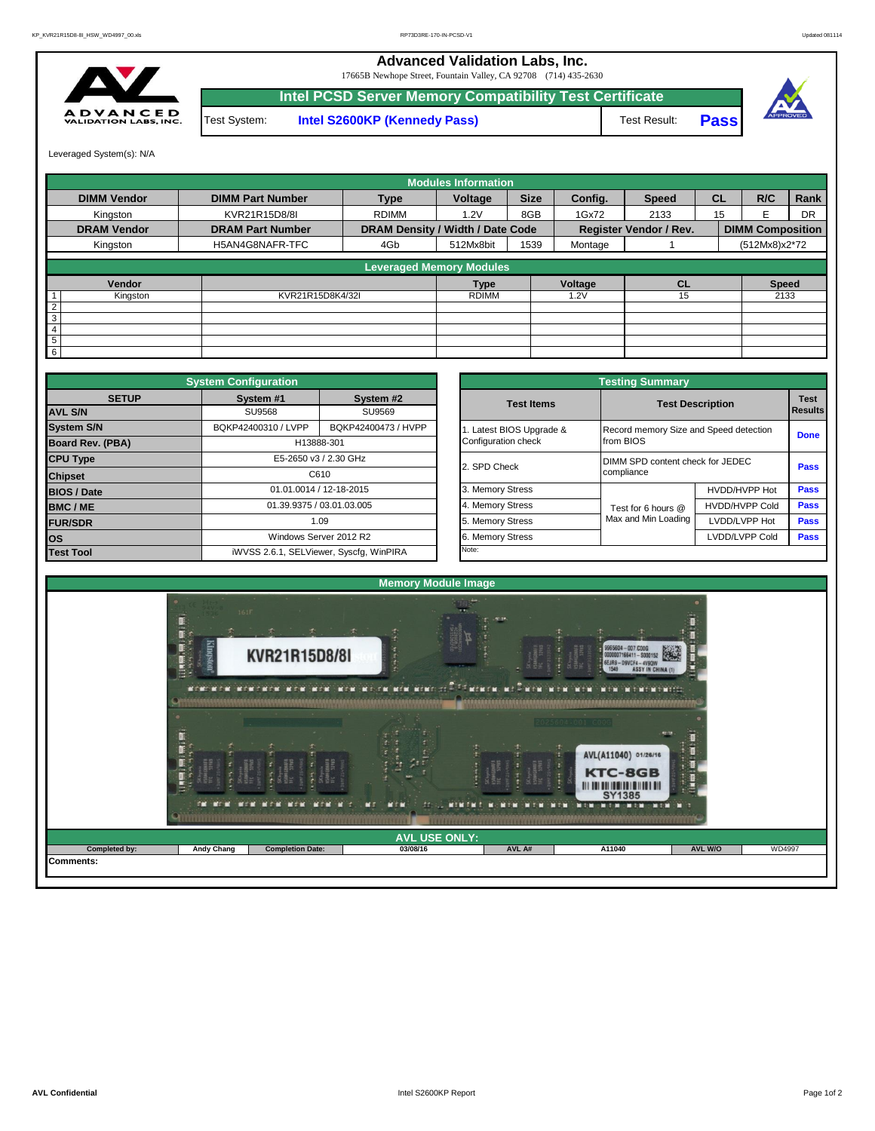**Advanced Validation Labs, Inc.** 

17665B Newhope Street, Fountain Valley, CA 92708 (714) 435-2630



Test System: **Intel S2600KP (Kennedy Pass)** Test Result: **Intel PCSD Server Memory Compatibility Test Certificate Pass**



Leveraged System(s): N/A

|                    |                         |                                  | <b>Modules Information</b> |             |         |                               |           |                         |           |
|--------------------|-------------------------|----------------------------------|----------------------------|-------------|---------|-------------------------------|-----------|-------------------------|-----------|
| <b>DIMM Vendor</b> | <b>DIMM Part Number</b> | <b>Type</b>                      | Voltage                    | <b>Size</b> | Config. | <b>Speed</b>                  | <b>CL</b> | R/C                     | Rank      |
| Kingston           | KVR21R15D8/8I           | <b>RDIMM</b>                     | 1.2V                       | 8GB         | 1Gx72   | 2133                          | 15        | F                       | <b>DR</b> |
| <b>DRAM Vendor</b> | <b>DRAM Part Number</b> | DRAM Density / Width / Date Code |                            |             |         | <b>Register Vendor / Rev.</b> |           | <b>DIMM Composition</b> |           |
| Kingston           | H5AN4G8NAFR-TFC         | 4Gb                              | 512Mx8bit                  | 1539        | Montage |                               |           | (512Mx8)x2*72           |           |
|                    |                         | <b>Leveraged Memory Modules</b>  |                            |             |         |                               |           |                         |           |
| Vendor             |                         |                                  | <b>Type</b>                |             | Voltage | <b>CL</b>                     |           | <b>Speed</b>            |           |
| Kingston           | KVR21R15D8K4/32I        |                                  | <b>RDIMM</b>               |             | .2V     | 15                            |           | 2133                    |           |
| $\overline{2}$     |                         |                                  |                            |             |         |                               |           |                         |           |
| 3                  |                         |                                  |                            |             |         |                               |           |                         |           |
| 4                  |                         |                                  |                            |             |         |                               |           |                         |           |
| 5                  |                         |                                  |                            |             |         |                               |           |                         |           |
| 6                  |                         |                                  |                            |             |         |                               |           |                         |           |

|                         | <b>System Configuration</b> |                                         |  |                       |                                        |                                           |             |  |  |
|-------------------------|-----------------------------|-----------------------------------------|--|-----------------------|----------------------------------------|-------------------------------------------|-------------|--|--|
| <b>SETUP</b>            | System #1                   | System #2                               |  | <b>Test Items</b>     |                                        |                                           | <b>Test</b> |  |  |
| <b>AVL S/N</b>          | SU9568<br>SU9569            |                                         |  |                       |                                        | <b>Test Description</b><br><b>Results</b> |             |  |  |
| <b>System S/N</b>       | BQKP42400310 / LVPP         | BQKP42400473 / HVPP                     |  | Latest BIOS Upgrade & | Record memory Size and Speed detection |                                           | <b>Done</b> |  |  |
| <b>Board Rev. (PBA)</b> |                             | H13888-301                              |  | Configuration check   | from BIOS                              |                                           |             |  |  |
| <b>CPU Type</b>         | E5-2650 v3 / 2.30 GHz       |                                         |  |                       |                                        | DIMM SPD content check for JEDEC          |             |  |  |
| C610<br><b>Chipset</b>  |                             |                                         |  | 2. SPD Check          | compliance                             |                                           | Pass        |  |  |
| <b>BIOS / Date</b>      |                             | 01.01.0014 / 12-18-2015                 |  | 3. Memory Stress      |                                        | HVDD/HVPP Hot                             | <b>Pass</b> |  |  |
| <b>BMC/ME</b>           |                             | 01.39.9375 / 03.01.03.005               |  | 4. Memory Stress      | Test for 6 hours @                     | <b>HVDD/HVPP Cold</b>                     | <b>Pass</b> |  |  |
| <b>FUR/SDR</b>          |                             | 1.09                                    |  | 5. Memory Stress      | Max and Min Loading                    | LVDD/LVPP Hot                             | Pass        |  |  |
| <b>los</b>              |                             | Windows Server 2012 R2                  |  | 6. Memory Stress      |                                        | LVDD/LVPP Cold                            | Pass        |  |  |
| <b>Test Tool</b>        |                             | iWVSS 2.6.1, SELViewer, Syscfq, WinPIRA |  | Note:                 |                                        |                                           |             |  |  |

|              | <b>System Configuration</b> |                                         | <b>Testing Summary</b> |                                        |                        |                               |  |  |  |  |  |  |
|--------------|-----------------------------|-----------------------------------------|------------------------|----------------------------------------|------------------------|-------------------------------|--|--|--|--|--|--|
| <b>SETUP</b> | System #1                   | System #2                               | <b>Test Items</b>      | <b>Test Description</b>                |                        | <b>Test</b><br><b>Results</b> |  |  |  |  |  |  |
|              | <b>SU9568</b>               | SU9569                                  |                        |                                        |                        |                               |  |  |  |  |  |  |
|              | BQKP42400310 / LVPP         | BQKP42400473 / HVPP                     | Latest BIOS Upgrade &  | Record memory Size and Speed detection |                        |                               |  |  |  |  |  |  |
| PBA)         |                             | H13888-301                              | Configuration check    | from BIOS                              |                        | <b>Done</b>                   |  |  |  |  |  |  |
|              |                             | E5-2650 v3 / 2.30 GHz                   | 2. SPD Check           | DIMM SPD content check for JEDEC       |                        |                               |  |  |  |  |  |  |
|              |                             | C610                                    |                        | compliance                             |                        |                               |  |  |  |  |  |  |
|              |                             | 01.01.0014 / 12-18-2015                 | 3. Memory Stress       |                                        | HVDD/HVPP Hot          | Pass                          |  |  |  |  |  |  |
|              |                             | 01.39.9375 / 03.01.03.005               | 4. Memory Stress       | Test for 6 hours @                     | Pass<br>HVDD/HVPP Cold |                               |  |  |  |  |  |  |
|              |                             | 1.09                                    | 5. Memory Stress       | Max and Min Loading                    | LVDD/LVPP Hot          | Pass                          |  |  |  |  |  |  |
|              |                             | Windows Server 2012 R2                  | 6. Memory Stress       |                                        | LVDD/LVPP Cold         | <b>Pass</b>                   |  |  |  |  |  |  |
|              |                             | iWVSS 2.6.1, SELViewer, Syscfq, WinPIRA | Note:                  |                                        |                        |                               |  |  |  |  |  |  |